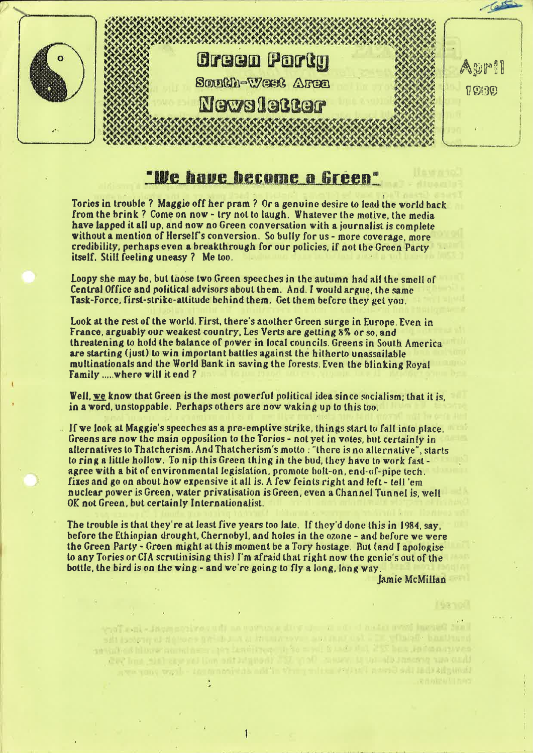

# "We have become a Green"

Tories in trouble ? Maggie off her pram ? Or a genuine desire to lead the world back from the brink ? Come on now - try not to laugh. Whatever the motive. the media have lapped it all up. and now no Green conversation with <sup>a</sup> iournalist is complete without a mention of Herself's conversion. So bully for us - more coverage, more credibility, perhaps even <sup>a</sup> breakthrough for our policies. if not the Green Party itself. Still feeling uneasy ? Me too.

Loopy she may be, but those two Green speeches in the autumn had all the smell of Central Office and political advisers about them. And. I would argue. the same Task-Force, first-strike-attitude behind them. Get them before they get you.

Look at the rest of the world. First, there's another Green surge in Europe. Even in France. arguably our weakest country. Les Verts are getting 8% or so. and threatening to hold the balance of power in local councils. Greens in South America are starting (just) to win important battles against the hitherto unassailable multinationals and the World Bank in saving the forests. Even the blinking Royal Family .....where will it end ?

Well, we know that Green is the most powerful political idea since socialism; that it is. in a word, unstoppable. Perhaps others are now waking up to this too.

.. If we look at Maggie's speeches as <sup>a</sup> pre-emptive strike. things start to fall into place. Greens are now the main opposition to the Tories - not yet in votes. but certainly in alternatives to Thatcherism. And Thatcherism's motto : "there is no alternative". starts to ring a little hollow. To nip this Green thing in the bud, they have to work fast agree with a bit of environmental legislation, promote bolt-on, end-of-pipe tech. fixes and go on about how expensive it all is. <sup>A</sup> few feints right and left - tell 'em nuclear power is Green. water privatisation is Green. even a Channel Tunnel is, well 0K not Green. but certainly lnternationalist.

The trouble is that they're at least five years too late. If they'd done this in 1984. say. before the Ethiopian drought. Chernobyl, and holes in the ozone - and before we were the Green Party - Green might at this moment he <sup>a</sup> Tory hostage. But (and I apologise to any Tories or CIA scrutinising this) I'm afraid that right now the genie's out of the bottle. the bird is on the wing - and we're going to fly along. long way.

Jamie McMillan

www.cited.com and the design of the more president and in the case of the product the<br>Call the short in the specific the contract the contract of the contract of the contract of the contract of th there were processed in the recent field and there are not the and the animal them you you the Green Period and the Virginian and the research - draw your reve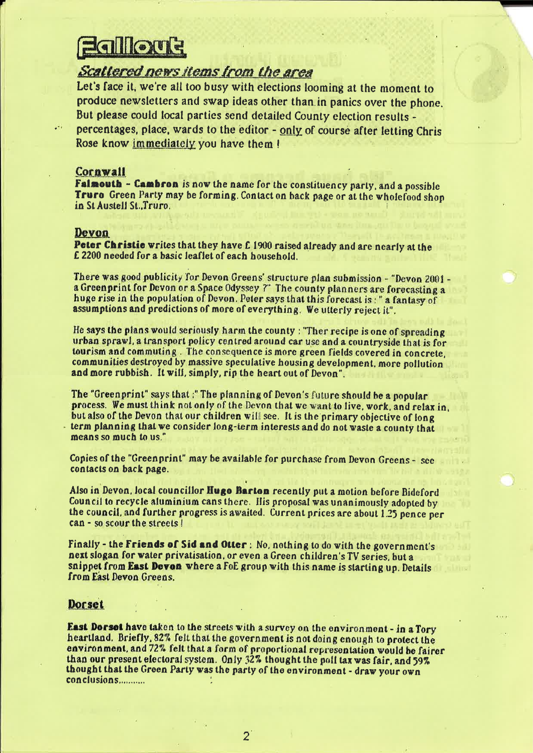# **Equilion E**<br>Scattered news items from the area

Let's face it, we're all too busy with elections looming at the moment to produce newsletters and swap ideas other than in panics over the phone. But please could local parties send detailed County election results percentages, place, wards to the editor - only of course after letting Chris Rose know immediately you have them !

# Cornwall

Falmouth - Cambron is now the name for the constituency party, and a possible Truro Green Party may be forming. Contact on back page or at the wholefood shop in St Austell St..Truro.

# Devon

Peter Christie writes that they have £1900 raised already and are nearly at the <sup>E</sup> <sup>2200</sup> needed for <sup>a</sup> basic leaflet of each household.

There was good publicity for Devon Greens' structure plan submission - "Devon 2001 a Green print for Devon or a Space Odyssey ?" The county planners are forecasting a huge rise in the population of Devon. Peter says that this forecast is: " a fantasy of assumptions and predictions of more of everything. We utterly reject it".

He says the plans would seriously harm the county : "Thor recipe is one of spreading urban sprawl. <sup>a</sup> transport policy centred around car use and <sup>a</sup> countryside that is for tourism and commuting. The consequence is more green fields covered in concrete, communities destroyed by massive speculative housing development. more pollution and more rubbish. It will, simply, rip the heart out of Devon".

The "Greenprint" says that :" The planning of Devon's future should be a popular process. We must think not only of the Devon that we want to live, work, and relax in. but also of the Devon that our children will see. It is the primary objective of long term planning that we consider long-term interests and do not waste a county that means so much to us,"

Copies of the "Greenprint" may be available for purchase from Devon Greens - see contacts on back page.

Also in Devon. local councillor Hugo Barton recently put <sup>a</sup> motion before Bideford Council to recycle aluminium cans there. His proposal was unanimously adopted by the council. and further progress is awaited. Current prices are about 1.25 pence per can - so scour the streets <sup>I</sup>

Finally - the Friends of Sid and Otter: No. nothing to do with the government's next slogan for water privatisation. or even <sup>a</sup> Green children's TV series. but <sup>a</sup> snippet from East Devon where a FoE group with this name is starting up. Details from East Devon Greens.

# **Dorset**

East Dorset have taken to the streets with a survey on the environment - in a Tory heartland. Briefly. 32% felt that the government is not doing enough to protect the environment. and 72% felt that <sup>a</sup> form of proportional representation would he fairer than our present electoral system. Only 32% thought the poll tax was fair. and 59% thought that the Green Party was the party of the environment - draw your own 'conclusions...........

 $\overline{2}$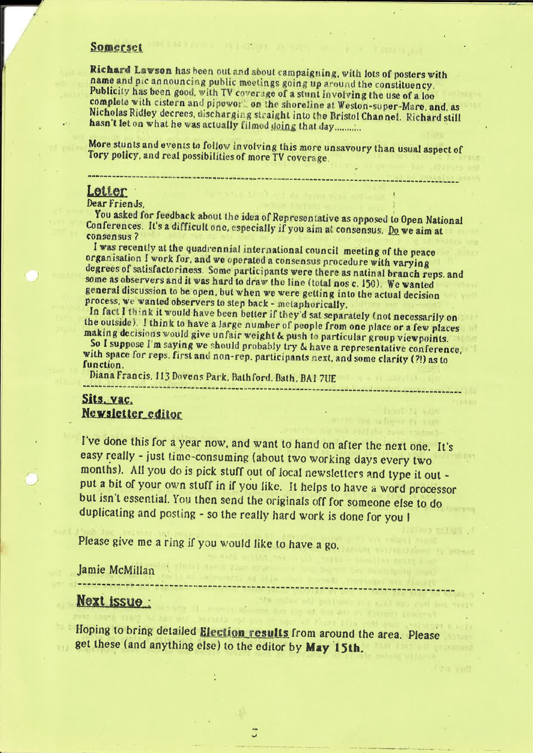# Somerset

Richard Lawson has been out and about campaigning, with lots of posters with name and pic announcing public meetings going up around the constituency. Publicity has been good, with TV coverage of a stunt involving the use of a loo complete with cistern and pipeworth on the shoreline at Weston-super-Mare, and, as Nicholas Ridley decrees, discharging straight into the Bristol Channel. Richard still hasn't let on what he was actually filmed doing that day...........

More stunts and events to follow involving this more unsavoury than usual aspect of Tory policy, and real possibilities of more TV coverage.

# Letter

# Dear Friends.

You asked for feedback about the idea of Representative as opposed to Open National Conferences. It's a difficult one, especially if you aim at consensus. Do we aim at consensus?

I was recently at the quadrennial international council meeting of the peace organisation I work for, and we operated a consensus procedure with varying degrees of satisfactoriness. Some participants were there as natinal branch reps. and some as observers and it was hard to draw the line (total nos c. 150). We wanted general discussion to be open, but when we were getting into the actual decision process, we wanted observers to step back - metaphorically.

In fact I think it would have been better if they'd sat separately (not necessarily on the outside). I think to have a large number of people from one place or a few places making decisions would give unfair weight & push to particular group viewpoints.

So I suppose I'm saying we should probably try & have a representative conference, with space for reps. first and non-rep. participants next, and some clarity (?!) as to function.

Diana Francis, 113 Dovens Park, Bathford, Bath, BA1 7UE

# Sits, vac. Newsletter editor

I've done this for a year now, and want to hand on after the next one. It's easy really - just time-consuming (about two working days every two months). All you do is pick stuff out of local newsletters and type it out put a bit of your own stuff in if you like. It helps to have a word processor but isn't essential. You then send the originals off for someone else to do duplicating and posting - so the really hard work is done for you I

Please give me a ring if you would like to have a go.

Jamie McMillan

# **Next issue:**

Hoping to bring detailed Election results from around the area. Please get these (and anything else) to the editor by May 15th.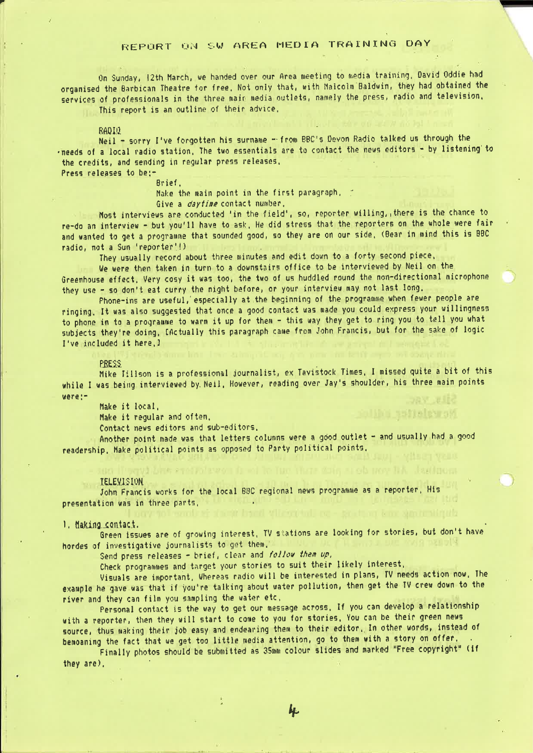# REPURT ON SW AREA MEDIA TRAINING DAY

 $\sim$ 

On Sunday, 12th March, we handed over our Area meeting to media training. David Oddie had organised the Barbican Theatre for free. Not only that. with Malcolm Baldwin, they had obtained the services of professionals in the three main media outlets, namely the press, radio and television. This report is an outline of their advice.

RADIQ

Neil - sorry I've forgotten his surname -- from BBC's Devon Radio talked us through the -needs of <sup>a</sup> local radio station. The two essentials are to contact the news editors - by listening'to the credits, and sending in regular press releases. Press releases to be:—

Brief.

Make the main point in the first paragraph. Give a *daytime* contact number.

Most interviews are conducted 'in the field', so, reporter willing, there is the chance to re-do an interview - but you'll have to ask. He did stress that the reporters on the whole were fair and wanted to get <sup>a</sup> programme that sounded good, so they are on our side. (Bear in mind this is BBC radio. not <sup>a</sup> Sun 'reporter{!) .

They usually record about three minutes and edit down to <sup>a</sup> forty second piece.

We were then taken in turn to <sup>a</sup> downstairs office to be interviewed by Neil on the Greenhouse effect. Very cosy it was too. the two of us huddled round the non-directional microphone they use - so don't eat curry the night before, or your interview may not last long.

Phone-ins are useful,'especially at the beginning of the programme when fewer people are ringing. It was also suggested that once <sup>a</sup> good contact was made you could express your willingness to phone in to a programme to warm it up for them - this way they get to ring you to tell you what subjects they're doing. [actually this paragraph came from John Francis. but for the sake of logic I've included it here.]

entss<br>Mike lillson is a professional journalist, ex Tavistock Times. I missed quite a bit of this while I was being interviewed by Neil. However, reading over Jay's shoulder, his three main points were:-

Make it local.

Make it regular and often.

Contact news editors and sub~editors.

Another point made was that letters columns were a good outlet - and usually had a good readership. Hake political points as opposed to Party political points.

### IELEMJSIDN.

John Francis works for the local BBC regional news programme as <sup>a</sup> reporter. His presentation was in three parts.

<sup>I</sup> . liakinosoataoi. . Green issues are of growing interest. TV stations are looking for stories. but don't have hordes of investigative journalists to get them.

Send press releases - brief, clear and follow them up,

Check programmes and target your stories to suit their likely interest.

Visuals are important. whereas radio will be interested in plans, TV needs action now. lhe example he gave was that if you're talking about water pollution, then get the TV crew down to the river and they can film you sampling the water etc.

Personal contact is the way to get our message across. If you can develop <sup>a</sup> relationship with a reporter, then they will start to come to you for stories. You can be their green news source, thus making their job easy and endearing them to their editor. In other words, instead of benoaning the fact that we get too little media attention, go to them with a story on offer.

Finally photos should be submitted as 35mm colour slides and marked "Free copyright" (if they are).

h.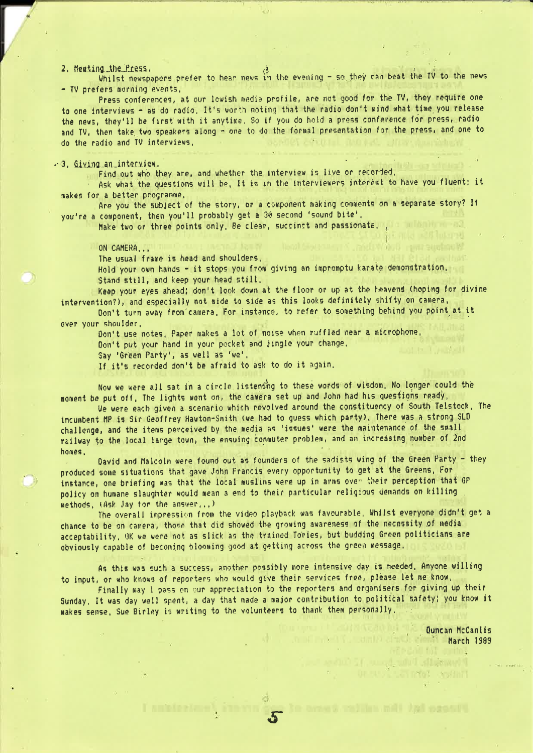2. Heeting the Press.<br>Whilst newspapers prefer to hear news in the evening – so they can beat the TV to the news - TV prefers morning events,

Press conferences, at our lowish media profile, are not good for the TV, they require one to one interviews - as do radio. It's worth noting that the radio don't mind what time you release the news. they'll be first with it anytime. So if you do hold <sup>a</sup> press conference for press. radio and TV, then take two speakers along - one to do the formal presentation for the press, and one to do the radio and TV interviews. <sup>~</sup>

## $-3$ . Giving an interview.

Find out who they are. and whether the interview is live or recorded.

Ask what the questions will be. It is in the interviewers interest to have you fluent; it makes for <sup>a</sup> better programme.

fire you the subject of the story. or <sup>a</sup> component making comments on <sup>a</sup> separate story? If you're <sup>a</sup> component. then you'll probably get <sup>a</sup> <sup>30</sup> second 'sound bite'.

Make two or three points only. Be clear, succinct and passionate.

## ON CAMERA...

The usual frame is head and shoulders.

Hold your own hands - it stops you from giving an impromptu karate demonstration. Stand still. and keep your head still.

I

Keep your eyes ahead: don't look down at the floor or up at the heavens (hoping for divine intervention?), and especially not side to side as this looks definitely shifty on camera.

Ion't turn away from'camera. For instance, to refer to something behind you point at it over your shoulder.

Don't use notes. Paper makes <sup>a</sup> lot of noise when ruffled near <sup>a</sup> microphone. Don't put your hand in your pocket and jingle your change.

say 'Green Party'. as well as 'we'.

If it's recorded don't be afraid to ask to do it again.

Now we were all sat in a circle listening to these words of wisdom. No longer could the moment be put off. The lights went on. the camera set up and John had his questions ready.

we were each given <sup>a</sup> scenario which revolved around the constituency of South Telstock. The incumbent hP is Sir Geoffrey Hawton-Smith (we had to guess which party). There was <sup>a</sup> strong SLD challenge. and the items perceived by the media as 'issues' were the maintenance of the small railway to the local large town. the ensuing commuter problem. and an increasing number of 2nd homes.

David and halcoim were found out as founders of the sadists wing of the Green Party - they produced some situations that gave John Francis every opportunity to get at the Greens. For instance. one briefing was that the local muslims were up in arms over their perception that GP policy on humane slaughter would mean <sup>3</sup> end to their particular religious demands on killing , methods. (Ask Jay for the answer...)

The overall impression from the video playback was favourable. whilst everyone didn't get <sup>a</sup> chance to be on camera, those that did showed the growing awareness of the necessity of media acceptability. UK we were not as slick as the trained Tories. but budding Green politicians are obviously capable of becoming blooming good at getting across the green message.

As this was such a success, another possibly more intensive day is needed. Anyone willing to input. or who knows of reporters who would give their services free. please let me know.

Finally may <sup>1</sup> pass on our appreciation to the reporters and organisers for giving up their Sunday. It was day well spent. <sup>a</sup> day that made <sup>a</sup> major contribution to political safety: you know it makes sense. Sue Birley is writing to the volunteers to thank them personally.

> Uuncan HcCanlis March 1989